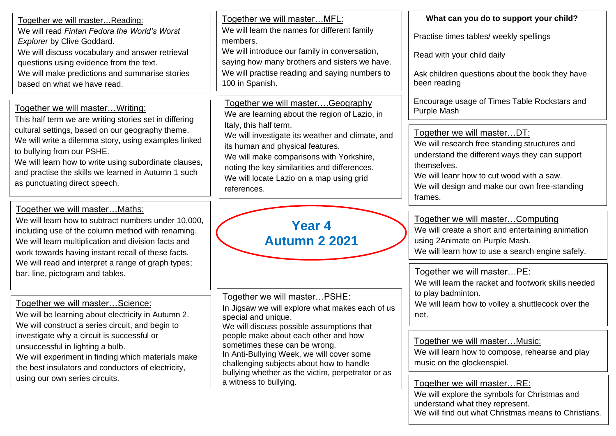| Together we will masterReading:<br>We will read Fintan Fedora the World's Worst<br><b>Explorer by Clive Goddard.</b><br>We will discuss vocabulary and answer retrieval<br>questions using evidence from the text.<br>We will make predictions and summarise stories<br>based on what we have read.                                                                                   | Together we will master MFL:<br>We will learn the names for different family<br>members.<br>We will introduce our family in conversation,<br>saying how many brothers and sisters we have.<br>We will practise reading and saying numbers to<br>100 in Spanish.                                                                                                                                      | What can you do to support your child?<br>Practise times tables/ weekly spellings<br>Read with your child daily<br>Ask children questions about the book they have<br>been reading                                                                                                                                   |
|---------------------------------------------------------------------------------------------------------------------------------------------------------------------------------------------------------------------------------------------------------------------------------------------------------------------------------------------------------------------------------------|------------------------------------------------------------------------------------------------------------------------------------------------------------------------------------------------------------------------------------------------------------------------------------------------------------------------------------------------------------------------------------------------------|----------------------------------------------------------------------------------------------------------------------------------------------------------------------------------------------------------------------------------------------------------------------------------------------------------------------|
| Together we will master Writing:<br>This half term we are writing stories set in differing<br>cultural settings, based on our geography theme.<br>We will write a dilemma story, using examples linked<br>to bullying from our PSHE.<br>We will learn how to write using subordinate clauses,<br>and practise the skills we learned in Autumn 1 such<br>as punctuating direct speech. | Together we will masterGeography<br>We are learning about the region of Lazio, in<br>Italy, this half term.<br>We will investigate its weather and climate, and<br>its human and physical features.<br>We will make comparisons with Yorkshire,<br>noting the key similarities and differences.<br>We will locate Lazio on a map using grid<br>references.                                           | Encourage usage of Times Table Rockstars and<br>Purple Mash<br>Together we will masterDT:<br>We will research free standing structures and<br>understand the different ways they can support<br>themselves.<br>We will leanr how to cut wood with a saw.<br>We will design and make our own free-standing<br>frames. |
| Together we will master Maths:<br>We will learn how to subtract numbers under 10,000,<br>including use of the column method with renaming.<br>We will learn multiplication and division facts and<br>work towards having instant recall of these facts.<br>We will read and interpret a range of graph types;<br>bar, line, pictogram and tables.                                     | <b>Year 4</b><br><b>Autumn 2 2021</b>                                                                                                                                                                                                                                                                                                                                                                | Together we will masterComputing<br>We will create a short and entertaining animation<br>using 2Animate on Purple Mash.<br>We will learn how to use a search engine safely.<br>Together we will masterPE:                                                                                                            |
| Together we will masterScience:<br>We will be learning about electricity in Autumn 2.<br>We will construct a series circuit, and begin to<br>investigate why a circuit is successful or<br>unsuccessful in lighting a bulb.<br>We will experiment in finding which materials make<br>the best insulators and conductors of electricity,<br>using our own series circuits.             | Together we will masterPSHE:<br>In Jigsaw we will explore what makes each of us<br>special and unique.<br>We will discuss possible assumptions that<br>people make about each other and how<br>sometimes these can be wrong.<br>In Anti-Bullying Week, we will cover some<br>challenging subjects about how to handle<br>bullying whether as the victim, perpetrator or as<br>a witness to bullying. | We will learn the racket and footwork skills needed<br>to play badminton.<br>We will learn how to volley a shuttlecock over the<br>net.                                                                                                                                                                              |
|                                                                                                                                                                                                                                                                                                                                                                                       |                                                                                                                                                                                                                                                                                                                                                                                                      | Together we will master Music:<br>We will learn how to compose, rehearse and play<br>music on the glockenspiel.<br>Together we will masterRE:<br>We will explore the symbols for Christmas and<br>understand what they represent.                                                                                    |

We will find out what Christmas means to Christians.

 $\overline{\phantom{0}}$ 

ᆜ  $\overline{\phantom{0}}$ 

 $\overline{\phantom{a}}$